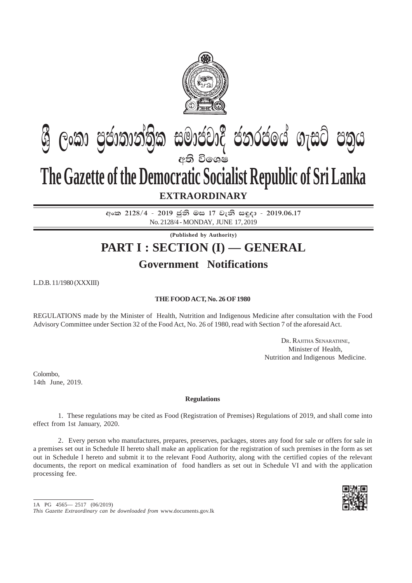

# **e:ති විශෙෂ The Gazette of the Democratic Socialist Republic of Sri Lanka ශී ලංකා පුජාතාන්තික සමාජවාදී ජනරජයේ ගැසට් පතුය**

## **EXTRAORDINARY**

අංක 2128/4 - 2019 ජූනි මස 17 වැනි සඳුදා - 2019.06.17 No. 2128/4 - MONDAY, JUNE 17, 2019

**(Published by Authority)**

# **PART I : SECTION (I) — GENERAL**

## **Government Notifications**

L.D.B. 11/1980 (XXXIII)

### **THE FOOD ACT, No. 26 OF 1980**

REGULATIONS made by the Minister of Health, Nutrition and Indigenous Medicine after consultation with the Food Advisory Committee under Section 32 of the Food Act, No. 26 of 1980, read with Section 7 of the aforesaid Act.

> DR. RAJITHA SENARATHNE, Minister of Health, Nutrition and Indigenous Medicine.

Colombo, 14th June, 2019.

#### **Regulations**

1. These regulations may be cited as Food (Registration of Premises) Regulations of 2019, and shall come into effect from 1st January, 2020.

2. Every person who manufactures, prepares, preserves, packages, stores any food for sale or offers for sale in a premises set out in Schedule II hereto shall make an application for the registration of such premises in the form as set out in Schedule I hereto and submit it to the relevant Food Authority, along with the certified copies of the relevant documents, the report on medical examination of food handlers as set out in Schedule VI and with the application processing fee.



<sup>1</sup>A PG 4565— 2517 (06/2019)

*This Gazette Extraordinary can be downloaded from* www.documents.gov.lk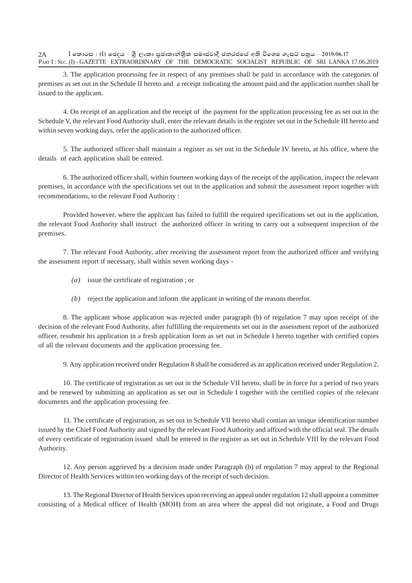3. The application processing fee in respect of any premises shall be paid in accordance with the categories of premises as set out in the Schedule II hereto and a receipt indicating the amount paid and the application number shall be issued to the applicant.

4. On receipt of an application and the receipt of the payment for the application processing fee as set out in the Schedule V, the relevant Food Authority shall, enter the relevant details in the register set out in the Schedule III hereto and within seven working days, refer the application to the authorized officer.

5. The authorized officer shall maintain a register as set out in the Schedule IV hereto, at his office, where the details of each application shall be entered.

6. The authorized officer shall, within fourteen working days of the receipt of the application, inspect the relevant premises, in accordance with the specifications set out in the application and submit the assessment report together with recommendations, to the relevant Food Authority :

Provided however, where the applicant has failed to fulfill the required specifications set out in the application, the relevant Food Authority shall instruct the authorized officer in writing to carry out a subsequent inspection of the premises.

7. The relevant Food Authority, after receiving the assessment report from the authorized officer and verifying the assessment report if necessary, shall within seven working days -

- *(a)* issue the certificate of registration ; or
- *(b)* reject the application and inform the applicant in writing of the reasons therefor.

8. The applicant whose application was rejected under paragraph (b) of regulation 7 may upon receipt of the decision of the relevant Food Authority, after fulfilling the requirements set out in the assessment report of the authorized officer, resubmit his application in a fresh application form as set out in Schedule I hereto together with certified copies of all the relevant documents and the application processing fee.

9. Any application received under Regulation 8 shall be considered as an application received under Regulation 2.

10. The certificate of registration as set out in the Schedule VII hereto, shall be in force for a period of two years and be renewed by submitting an application as set out in Schedule I together with the certified copies of the relevant documents and the application processing fee.

11. The certificate of registration, as set out in Schedule VII hereto shall contian an unique identification number issued by the Chief Food Authority and signed by the relevant Food Authority and affixed with the official seal. The details of every certificate of registration issued shall be entered in the register as set out in Schedule VIII by the relevant Food Authority.

12. Any person aggrieved by a decision made under Paragraph (b) of regulation 7 may appeal to the Regional Director of Health Services within ten working days of the receipt of such decision.

13. The Regional Director of Health Services upon receiving an appeal under regulation 12 shall appoint a committee consisting of a Medical officer of Health (MOH) from an area where the appeal did not originate, a Food and Drugs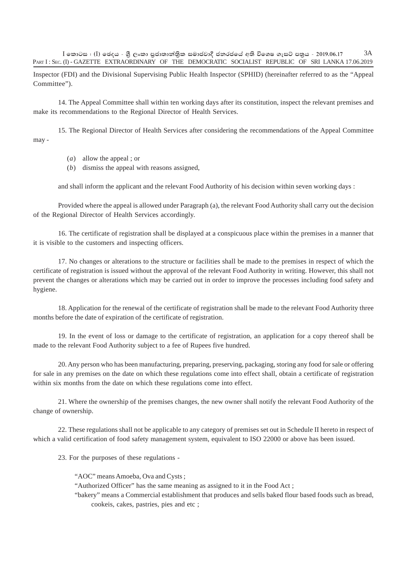$\bar{\Gamma}$ කොටස : ( $\bar{\Gamma}$ ) ඡෙදය - ශීූ ලංකා පුජාතාන්තික සමාජවාදී ජනරජයේ අති විශෙෂ ගැසට් පතුය - 2019.06.17 PART I: SEC. (I) - GAZETTE EXTRAORDINARY OF THE DEMOCRATIC SOCIALIST REPUBLIC OF SRI LANKA 17.06.2019 3A

Inspector (FDI) and the Divisional Supervising Public Health Inspector (SPHID) (hereinafter referred to as the "Appeal Committee").

14. The Appeal Committee shall within ten working days after its constitution, inspect the relevant premises and make its recommendations to the Regional Director of Health Services.

15. The Regional Director of Health Services after considering the recommendations of the Appeal Committee may -

- (*a*) allow the appeal ; or
- (*b*) dismiss the appeal with reasons assigned,

and shall inform the applicant and the relevant Food Authority of his decision within seven working days :

Provided where the appeal is allowed under Paragraph (a), the relevant Food Authority shall carry out the decision of the Regional Director of Health Services accordingly.

16. The certificate of registration shall be displayed at a conspicuous place within the premises in a manner that it is visible to the customers and inspecting officers.

17. No changes or alterations to the structure or facilities shall be made to the premises in respect of which the certificate of registration is issued without the approval of the relevant Food Authority in writing. However, this shall not prevent the changes or alterations which may be carried out in order to improve the processes including food safety and hygiene.

18. Application for the renewal of the certificate of registration shall be made to the relevant Food Authority three months before the date of expiration of the certificate of registration.

19. In the event of loss or damage to the certificate of registration, an application for a copy thereof shall be made to the relevant Food Authority subject to a fee of Rupees five hundred.

20. Any person who has been manufacturing, preparing, preserving, packaging, storing any food for sale or offering for sale in any premises on the date on which these regulations come into effect shall, obtain a certificate of registration within six months from the date on which these regulations come into effect.

21. Where the ownership of the premises changes, the new owner shall notify the relevant Food Authority of the change of ownership.

22. These regulations shall not be applicable to any category of premises set out in Schedule II hereto in respect of which a valid certification of food safety management system, equivalent to ISO 22000 or above has been issued.

23. For the purposes of these regulations -

"AOC" means Amoeba, Ova and Cysts ;

"Authorized Officer" has the same meaning as assigned to it in the Food Act ;

"bakery" means a Commercial establishment that produces and sells baked flour based foods such as bread, cookeis, cakes, pastries, pies and etc ;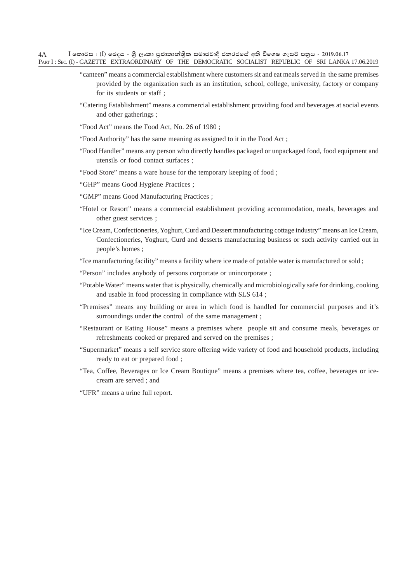- "canteen" means a commercial establishment where customers sit and eat meals served in the same premises provided by the organization such as an institution, school, college, university, factory or company for its students or staff ;
- "Catering Establishment" means a commercial establishment providing food and beverages at social events and other gatherings ;
- "Food Act" means the Food Act, No. 26 of 1980 ;
- "Food Authority" has the same meaning as assigned to it in the Food Act ;
- "Food Handler" means any person who directly handles packaged or unpackaged food, food equipment and utensils or food contact surfaces ;
- "Food Store" means a ware house for the temporary keeping of food ;
- "GHP" means Good Hygiene Practices ;
- "GMP" means Good Manufacturing Practices ;
- "Hotel or Resort" means a commercial establishment providing accommodation, meals, beverages and other guest services ;
- "Ice Cream, Confectioneries, Yoghurt, Curd and Dessert manufacturing cottage industry" means an Ice Cream, Confectioneries, Yoghurt, Curd and desserts manufacturing business or such activity carried out in people's homes ;
- "Ice manufacturing facility" means a facility where ice made of potable water is manufactured or sold ;
- "Person" includes anybody of persons corportate or unincorporate ;
- "Potable Water" means water that is physically, chemically and microbiologically safe for drinking, cooking and usable in food processing in compliance with SLS 614 ;
- "Premises" means any building or area in which food is handled for commercial purposes and it's surroundings under the control of the same management ;
- "Restaurant or Eating House" means a premises where people sit and consume meals, beverages or refreshments cooked or prepared and served on the premises ;
- "Supermarket" means a self service store offering wide variety of food and household products, including ready to eat or prepared food ;
- "Tea, Coffee, Beverages or Ice Cream Boutique" means a premises where tea, coffee, beverages or icecream are served ; and
- "UFR" means a urine full report.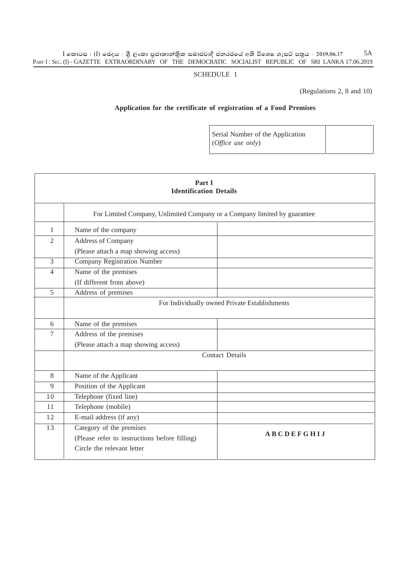#### $\rm I$  කොටස : ( $\rm I$ ) ඡෙදය - ශුී ලංකා පුජාතාන්තිුක සමාජවාදී ජනරජයේ අති විශෙෂ ගැසට් පතුය - 2019.06.17 PART I : SEC. (I) - GAZETTE EXTRAORDINARY OF THE DEMOCRATIC SOCIALIST REPUBLIC OF SRI LANKA 17.06.2019 5A

#### SCHEDULE I

(Regulations 2, 8 and 10)

### **Application for the certificate of registration of a Food Premises**

Serial Number of the Application (*Office use only*)

|                | Part I<br><b>Identification Details</b>                                  |                                               |  |  |  |  |  |  |  |
|----------------|--------------------------------------------------------------------------|-----------------------------------------------|--|--|--|--|--|--|--|
|                | For Limited Company, Unlimited Company or a Company limited by guarantee |                                               |  |  |  |  |  |  |  |
| $\mathbf{1}$   | Name of the company                                                      |                                               |  |  |  |  |  |  |  |
| $\overline{2}$ | Address of Company                                                       |                                               |  |  |  |  |  |  |  |
|                | (Please attach a map showing access)                                     |                                               |  |  |  |  |  |  |  |
| $\overline{3}$ | <b>Company Registration Number</b>                                       |                                               |  |  |  |  |  |  |  |
| $\overline{4}$ | Name of the premises                                                     |                                               |  |  |  |  |  |  |  |
|                | (If different from above)                                                |                                               |  |  |  |  |  |  |  |
| 5              | Address of premises                                                      |                                               |  |  |  |  |  |  |  |
|                |                                                                          | For Individually owned Private Establishments |  |  |  |  |  |  |  |
| 6              | Name of the premises                                                     |                                               |  |  |  |  |  |  |  |
| 7              | Address of the premises                                                  |                                               |  |  |  |  |  |  |  |
|                | (Please attach a map showing access)                                     |                                               |  |  |  |  |  |  |  |
|                |                                                                          | <b>Contact Details</b>                        |  |  |  |  |  |  |  |
| 8              | Name of the Applicant                                                    |                                               |  |  |  |  |  |  |  |
| 9              | Position of the Applicant                                                |                                               |  |  |  |  |  |  |  |
| 10             | Telephone (fixed line)                                                   |                                               |  |  |  |  |  |  |  |
| 11             | Telephone (mobile)                                                       |                                               |  |  |  |  |  |  |  |
| 12             | E-mail address (if any)                                                  |                                               |  |  |  |  |  |  |  |
| 13             | Category of the premises                                                 | <b>ABCDEFGHIJ</b>                             |  |  |  |  |  |  |  |
|                | (Please refer to instructions before filling)                            |                                               |  |  |  |  |  |  |  |
|                | Circle the relevant letter                                               |                                               |  |  |  |  |  |  |  |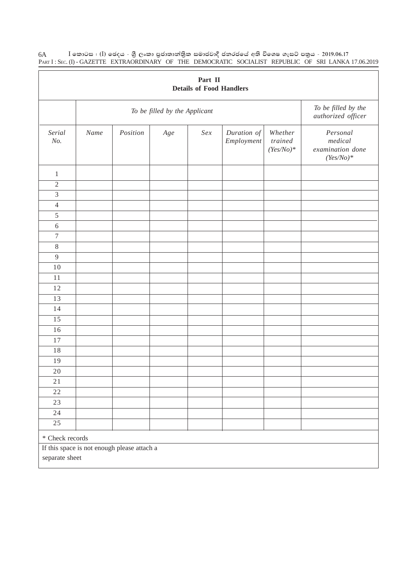| Part II<br><b>Details of Food Handlers</b> |                                                               |          |       |     |                           |                                   |                                                        |  |  |
|--------------------------------------------|---------------------------------------------------------------|----------|-------|-----|---------------------------|-----------------------------------|--------------------------------------------------------|--|--|
|                                            | To be filled by the Applicant                                 |          |       |     |                           |                                   |                                                        |  |  |
| Serial<br>No.                              | Name                                                          | Position | $Age$ | Sex | Duration of<br>Employment | Whether<br>trained<br>$(Fes/No)*$ | Personal<br>medical<br>examination done<br>$(Fes/No)*$ |  |  |
| $\mathbf{1}$                               |                                                               |          |       |     |                           |                                   |                                                        |  |  |
| $\overline{2}$                             |                                                               |          |       |     |                           |                                   |                                                        |  |  |
| 3                                          |                                                               |          |       |     |                           |                                   |                                                        |  |  |
| $\overline{4}$                             |                                                               |          |       |     |                           |                                   |                                                        |  |  |
| 5                                          |                                                               |          |       |     |                           |                                   |                                                        |  |  |
| $6\,$                                      |                                                               |          |       |     |                           |                                   |                                                        |  |  |
| $\boldsymbol{7}$                           |                                                               |          |       |     |                           |                                   |                                                        |  |  |
| $8\,$                                      |                                                               |          |       |     |                           |                                   |                                                        |  |  |
| $\overline{9}$                             |                                                               |          |       |     |                           |                                   |                                                        |  |  |
| 10                                         |                                                               |          |       |     |                           |                                   |                                                        |  |  |
| 11                                         |                                                               |          |       |     |                           |                                   |                                                        |  |  |
| 12                                         |                                                               |          |       |     |                           |                                   |                                                        |  |  |
| 13                                         |                                                               |          |       |     |                           |                                   |                                                        |  |  |
| 14                                         |                                                               |          |       |     |                           |                                   |                                                        |  |  |
| 15                                         |                                                               |          |       |     |                           |                                   |                                                        |  |  |
| 16                                         |                                                               |          |       |     |                           |                                   |                                                        |  |  |
| 17                                         |                                                               |          |       |     |                           |                                   |                                                        |  |  |
| 18                                         |                                                               |          |       |     |                           |                                   |                                                        |  |  |
| 19                                         |                                                               |          |       |     |                           |                                   |                                                        |  |  |
| 20                                         |                                                               |          |       |     |                           |                                   |                                                        |  |  |
| $2\sqrt{1}$                                |                                                               |          |       |     |                           |                                   |                                                        |  |  |
| $2\sqrt{2}$                                |                                                               |          |       |     |                           |                                   |                                                        |  |  |
| 23                                         |                                                               |          |       |     |                           |                                   |                                                        |  |  |
| 24                                         |                                                               |          |       |     |                           |                                   |                                                        |  |  |
| 25                                         |                                                               |          |       |     |                           |                                   |                                                        |  |  |
| * Check records                            |                                                               |          |       |     |                           |                                   |                                                        |  |  |
|                                            | If this space is not enough please attach a<br>separate sheet |          |       |     |                           |                                   |                                                        |  |  |

 $\rm I$  කොටස : ( $\rm I$ ) ඡෙදය - ශුී ලංකා පුජාතාන්තිුක සමාජවාදී ජනරජයේ අති විශෙෂ ගැසට් පතුය - 2019.06.17 PART I : SEC. (I) - GAZETTE EXTRAORDINARY OF THE DEMOCRATIC SOCIALIST REPUBLIC OF SRI LANKA 17.06.2019 6A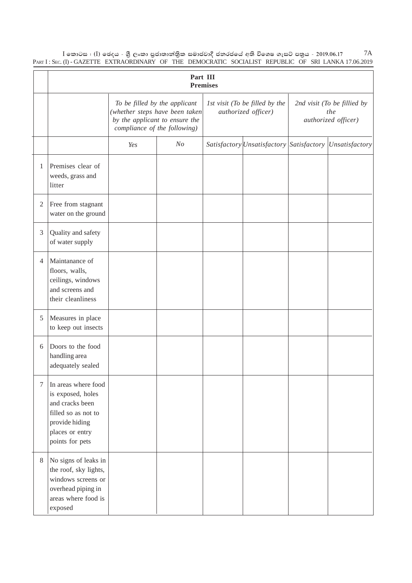$\rm I$  කොටස : ( $\rm I$ ) ඡෙදය - ශුී ලංකා පුජාතාන්තිුක සමාජවාදී ජනරජයේ අති විශෙෂ ගැසට් පතුය - 2019.06.17 PART I : SEC. (I) - GAZETTE EXTRAORDINARY OF THE DEMOCRATIC SOCIALIST REPUBLIC OF SRI LANKA 17.06.2019 7A

|                | Part III<br><b>Premises</b>                                                                                                                |                                                                                                                                   |                |  |                                                       |                                                           |                                                                       |  |  |  |
|----------------|--------------------------------------------------------------------------------------------------------------------------------------------|-----------------------------------------------------------------------------------------------------------------------------------|----------------|--|-------------------------------------------------------|-----------------------------------------------------------|-----------------------------------------------------------------------|--|--|--|
|                |                                                                                                                                            | To be filled by the applicant<br>(whether steps have been taken<br>by the applicant to ensure the<br>compliance of the following) |                |  | 1st visit (To be filled by the<br>authorized officer) | 2nd visit (To be fillied by<br>the<br>authorized officer) |                                                                       |  |  |  |
|                |                                                                                                                                            | Yes                                                                                                                               | N <sub>O</sub> |  |                                                       |                                                           | Satisfactory <i>Unsatisfactory</i> Satisfactory <i>Unsatisfactory</i> |  |  |  |
| $\mathbf{1}$   | Premises clear of<br>weeds, grass and<br>litter                                                                                            |                                                                                                                                   |                |  |                                                       |                                                           |                                                                       |  |  |  |
| $\mathfrak{2}$ | Free from stagnant<br>water on the ground                                                                                                  |                                                                                                                                   |                |  |                                                       |                                                           |                                                                       |  |  |  |
| $\mathfrak{Z}$ | Quality and safety<br>of water supply                                                                                                      |                                                                                                                                   |                |  |                                                       |                                                           |                                                                       |  |  |  |
| $\overline{4}$ | Maintanance of<br>floors, walls,<br>ceilings, windows<br>and screens and<br>their cleanliness                                              |                                                                                                                                   |                |  |                                                       |                                                           |                                                                       |  |  |  |
| 5              | Measures in place<br>to keep out insects                                                                                                   |                                                                                                                                   |                |  |                                                       |                                                           |                                                                       |  |  |  |
| 6              | Doors to the food<br>handling area<br>adequately sealed                                                                                    |                                                                                                                                   |                |  |                                                       |                                                           |                                                                       |  |  |  |
| 7              | In areas where food<br>is exposed, holes<br>and cracks been<br>filled so as not to<br>provide hiding<br>places or entry<br>points for pets |                                                                                                                                   |                |  |                                                       |                                                           |                                                                       |  |  |  |
| 8              | No signs of leaks in<br>the roof, sky lights,<br>windows screens or<br>overhead piping in<br>areas where food is<br>exposed                |                                                                                                                                   |                |  |                                                       |                                                           |                                                                       |  |  |  |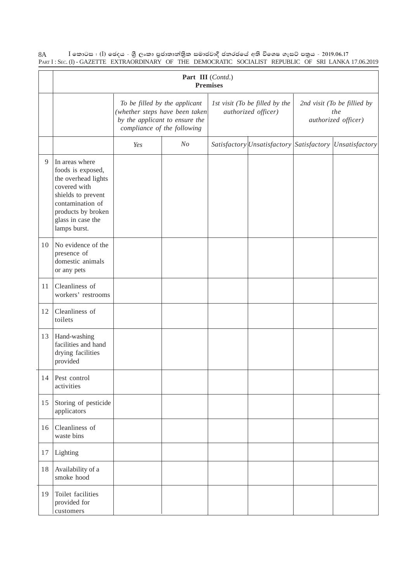|    |                                                                                                                                                                                 | Part III (Contd.)<br><b>Premises</b>                                                                                             |                |  |                                                       |                                                           |                                                                |  |  |  |  |  |
|----|---------------------------------------------------------------------------------------------------------------------------------------------------------------------------------|----------------------------------------------------------------------------------------------------------------------------------|----------------|--|-------------------------------------------------------|-----------------------------------------------------------|----------------------------------------------------------------|--|--|--|--|--|
|    |                                                                                                                                                                                 | To be filled by the applicant<br>(whether steps have been taken<br>by the applicant to ensure the<br>compliance of the following |                |  | 1st visit (To be filled by the<br>authorized officer) | 2nd visit (To be fillied by<br>the<br>authorized officer) |                                                                |  |  |  |  |  |
|    |                                                                                                                                                                                 | Yes                                                                                                                              | N <sub>O</sub> |  |                                                       |                                                           | Satisfactory <i>Unsatisfactory Satisfactory Unsatisfactory</i> |  |  |  |  |  |
| 9  | In areas where<br>foods is exposed,<br>the overhead lights<br>covered with<br>shields to prevent<br>contamination of<br>products by broken<br>glass in case the<br>lamps burst. |                                                                                                                                  |                |  |                                                       |                                                           |                                                                |  |  |  |  |  |
| 10 | No evidence of the<br>presence of<br>domestic animals<br>or any pets                                                                                                            |                                                                                                                                  |                |  |                                                       |                                                           |                                                                |  |  |  |  |  |
| 11 | Cleanliness of<br>workers' restrooms                                                                                                                                            |                                                                                                                                  |                |  |                                                       |                                                           |                                                                |  |  |  |  |  |
| 12 | Cleanliness of<br>toilets                                                                                                                                                       |                                                                                                                                  |                |  |                                                       |                                                           |                                                                |  |  |  |  |  |
| 13 | Hand-washing<br>facilities and hand<br>drying facilities<br>provided                                                                                                            |                                                                                                                                  |                |  |                                                       |                                                           |                                                                |  |  |  |  |  |
| 14 | Pest control<br>activities                                                                                                                                                      |                                                                                                                                  |                |  |                                                       |                                                           |                                                                |  |  |  |  |  |
| 15 | Storing of pesticide<br>applicators                                                                                                                                             |                                                                                                                                  |                |  |                                                       |                                                           |                                                                |  |  |  |  |  |
| 16 | Cleanliness of<br>waste bins                                                                                                                                                    |                                                                                                                                  |                |  |                                                       |                                                           |                                                                |  |  |  |  |  |
| 17 | Lighting                                                                                                                                                                        |                                                                                                                                  |                |  |                                                       |                                                           |                                                                |  |  |  |  |  |
| 18 | Availability of a<br>smoke hood                                                                                                                                                 |                                                                                                                                  |                |  |                                                       |                                                           |                                                                |  |  |  |  |  |
| 19 | Toilet facilities<br>provided for<br>customers                                                                                                                                  |                                                                                                                                  |                |  |                                                       |                                                           |                                                                |  |  |  |  |  |

 $\rm I$  කොටස : ( $\rm I$ ) ඡෙදය - ශුී ලංකා පුජාතාන්තිුක සමාජවාදී ජනරජයේ අති විශෙෂ ගැසට් පතුය - 2019.06.17 PART I : SEC. (I) - GAZETTE EXTRAORDINARY OF THE DEMOCRATIC SOCIALIST REPUBLIC OF SRI LANKA 17.06.2019 8A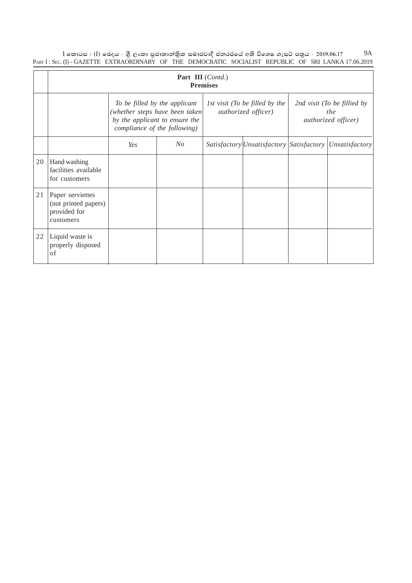$\rm I$  කොටස : ( $\rm I$ ) ඡෙදය - ශුී ලංකා පුජාතාන්තිුක සමාජවාදී ජනරජයේ අති විශෙෂ ගැසට් පතුය - 2019.06.17 PART I : SEC. (I) - GAZETTE EXTRAORDINARY OF THE DEMOCRATIC SOCIALIST REPUBLIC OF SRI LANKA 17.06.2019 9A

|    | Part III (Contd.)<br><b>Premises</b>                                  |                                                                                                                                    |         |  |                                                       |                                                           |                                                                |  |  |  |
|----|-----------------------------------------------------------------------|------------------------------------------------------------------------------------------------------------------------------------|---------|--|-------------------------------------------------------|-----------------------------------------------------------|----------------------------------------------------------------|--|--|--|
|    |                                                                       | To be filled by the applicant<br>(whether steps have been taken)<br>by the applicant to ensure the<br>compliance of the following) |         |  | 1st visit (To be filled by the<br>authorized officer) | 2nd visit (To be fillied by<br>the<br>authorized officer) |                                                                |  |  |  |
|    |                                                                       | Yes                                                                                                                                | $N_{O}$ |  |                                                       |                                                           | Satisfactory <i>Unsatisfactory Satisfactory Unsatisfactory</i> |  |  |  |
| 20 | Hand washing<br>facilities available<br>for customers                 |                                                                                                                                    |         |  |                                                       |                                                           |                                                                |  |  |  |
| 21 | Paper serviettes<br>(not printed papers)<br>provided for<br>customers |                                                                                                                                    |         |  |                                                       |                                                           |                                                                |  |  |  |
| 22 | Liquid waste is<br>properly disposed<br>of                            |                                                                                                                                    |         |  |                                                       |                                                           |                                                                |  |  |  |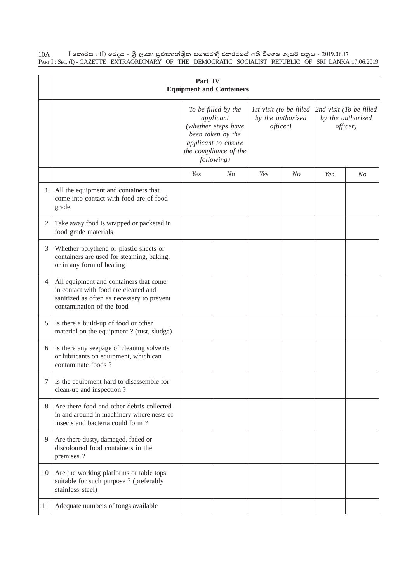|                |                                                                                                                                                           | Part IV | <b>Equipment and Containers</b>                                                                                                            |     |                                                          |                                                          |         |
|----------------|-----------------------------------------------------------------------------------------------------------------------------------------------------------|---------|--------------------------------------------------------------------------------------------------------------------------------------------|-----|----------------------------------------------------------|----------------------------------------------------------|---------|
|                |                                                                                                                                                           |         | To be filled by the<br>applicant<br>(whether steps have<br>been taken by the<br>applicant to ensure<br>the compliance of the<br>following) |     | 1st visit (to be filled<br>by the authorized<br>offset() | 2nd visit (To be filled<br>by the authorized<br>officer) |         |
|                |                                                                                                                                                           | Yes     | $N_{O}$                                                                                                                                    | Yes | $N_{O}$                                                  | Yes                                                      | $N_{O}$ |
| 1              | All the equipment and containers that<br>come into contact with food are of food<br>grade.                                                                |         |                                                                                                                                            |     |                                                          |                                                          |         |
| $\overline{2}$ | Take away food is wrapped or packeted in<br>food grade materials                                                                                          |         |                                                                                                                                            |     |                                                          |                                                          |         |
| 3              | Whether polythene or plastic sheets or<br>containers are used for steaming, baking,<br>or in any form of heating                                          |         |                                                                                                                                            |     |                                                          |                                                          |         |
| $\overline{4}$ | All equipment and containers that come<br>in contact with food are cleaned and<br>sanitized as often as necessary to prevent<br>contamination of the food |         |                                                                                                                                            |     |                                                          |                                                          |         |
| 5              | Is there a build-up of food or other<br>material on the equipment ? (rust, sludge)                                                                        |         |                                                                                                                                            |     |                                                          |                                                          |         |
| 6              | Is there any seepage of cleaning solvents<br>or lubricants on equipment, which can<br>contaminate foods?                                                  |         |                                                                                                                                            |     |                                                          |                                                          |         |
| 7              | Is the equipment hard to disassemble for<br>clean-up and inspection?                                                                                      |         |                                                                                                                                            |     |                                                          |                                                          |         |
| 8              | Are there food and other debris collected<br>in and around in machinery where nests of<br>insects and bacteria could form?                                |         |                                                                                                                                            |     |                                                          |                                                          |         |
| 9              | Are there dusty, damaged, faded or<br>discoloured food containers in the<br>premises ?                                                                    |         |                                                                                                                                            |     |                                                          |                                                          |         |
| 10             | Are the working platforms or table tops<br>suitable for such purpose ? (preferably<br>stainless steel)                                                    |         |                                                                                                                                            |     |                                                          |                                                          |         |
| 11             | Adequate numbers of tongs available                                                                                                                       |         |                                                                                                                                            |     |                                                          |                                                          |         |

 $\rm I$  කොටස : ( $\rm I$ ) ඡෙදය - ශුී ලංකා පුජාතාන්තිුක සමාජවාදී ජනරජයේ අති විශෙෂ ගැසට් පතුය - 2019.06.17 PART I : SEC. (I) - GAZETTE EXTRAORDINARY OF THE DEMOCRATIC SOCIALIST REPUBLIC OF SRI LANKA 17.06.2019 10A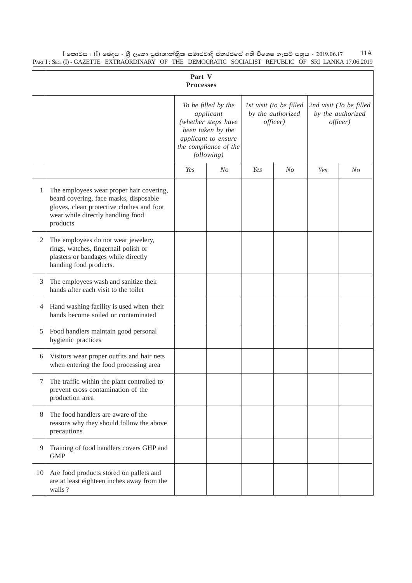$\rm I$  කොටස : ( $\rm I$ ) ඡෙදය - ශුී ලංකා පුජාතාන්තිුක සමාජවාදී ජනරජයේ අති විශෙෂ ගැසට් පතුය - 2019.06.17 PART I : SEC. (I) - GAZETTE EXTRAORDINARY OF THE DEMOCRATIC SOCIALIST REPUBLIC OF SRI LANKA 17.06.2019 11A

|                | Part V<br><b>Processes</b>                                                                                                                                                       |                                                                                                                                            |                |                                                          |                |                                                          |                |  |  |
|----------------|----------------------------------------------------------------------------------------------------------------------------------------------------------------------------------|--------------------------------------------------------------------------------------------------------------------------------------------|----------------|----------------------------------------------------------|----------------|----------------------------------------------------------|----------------|--|--|
|                |                                                                                                                                                                                  | To be filled by the<br>applicant<br>(whether steps have<br>been taken by the<br>applicant to ensure<br>the compliance of the<br>following) |                | 1st visit (to be filled<br>by the authorized<br>officer) |                | 2nd visit (To be filled<br>by the authorized<br>officer) |                |  |  |
|                |                                                                                                                                                                                  | Yes                                                                                                                                        | N <sub>O</sub> | Yes                                                      | N <sub>O</sub> | Yes                                                      | N <sub>O</sub> |  |  |
| 1              | The employees wear proper hair covering,<br>beard covering, face masks, disposable<br>gloves, clean protective clothes and foot<br>wear while directly handling food<br>products |                                                                                                                                            |                |                                                          |                |                                                          |                |  |  |
| $\overline{c}$ | The employees do not wear jewelery,<br>rings, watches, fingernail polish or<br>plasters or bandages while directly<br>handing food products.                                     |                                                                                                                                            |                |                                                          |                |                                                          |                |  |  |
| 3              | The employees wash and sanitize their<br>hands after each visit to the toilet                                                                                                    |                                                                                                                                            |                |                                                          |                |                                                          |                |  |  |
| 4              | Hand washing facility is used when their<br>hands become soiled or contaminated                                                                                                  |                                                                                                                                            |                |                                                          |                |                                                          |                |  |  |
| 5              | Food handlers maintain good personal<br>hygienic practices                                                                                                                       |                                                                                                                                            |                |                                                          |                |                                                          |                |  |  |
| 6              | Visitors wear proper outfits and hair nets<br>when entering the food processing area                                                                                             |                                                                                                                                            |                |                                                          |                |                                                          |                |  |  |
| 7              | The traffic within the plant controlled to<br>prevent cross contamination of the<br>production area                                                                              |                                                                                                                                            |                |                                                          |                |                                                          |                |  |  |
| 8              | The food handlers are aware of the<br>reasons why they should follow the above<br>precautions                                                                                    |                                                                                                                                            |                |                                                          |                |                                                          |                |  |  |
| 9              | Training of food handlers covers GHP and<br><b>GMP</b>                                                                                                                           |                                                                                                                                            |                |                                                          |                |                                                          |                |  |  |
| 10             | Are food products stored on pallets and<br>are at least eighteen inches away from the<br>walls?                                                                                  |                                                                                                                                            |                |                                                          |                |                                                          |                |  |  |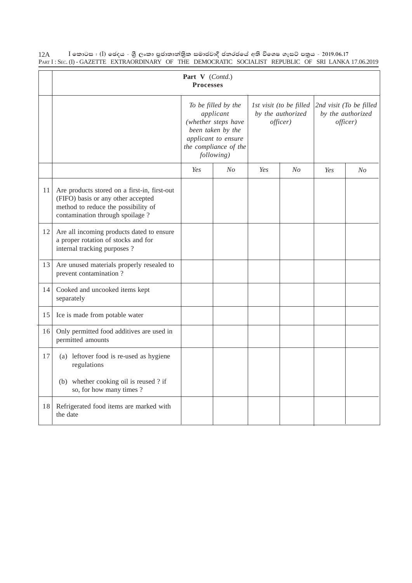|    |                                                                                                                                                              | Part V (Contd.)<br><b>Processes</b>                                                                                                        |                |                                                          |                |                                                          |         |
|----|--------------------------------------------------------------------------------------------------------------------------------------------------------------|--------------------------------------------------------------------------------------------------------------------------------------------|----------------|----------------------------------------------------------|----------------|----------------------------------------------------------|---------|
|    |                                                                                                                                                              | To be filled by the<br>applicant<br>(whether steps have<br>been taken by the<br>applicant to ensure<br>the compliance of the<br>following) |                | 1st visit (to be filled<br>by the authorized<br>offset() |                | 2nd visit (To be filled<br>by the authorized<br>officer) |         |
|    |                                                                                                                                                              | Yes                                                                                                                                        | N <sub>O</sub> | Yes                                                      | N <sub>O</sub> | Yes                                                      | $N_{O}$ |
| 11 | Are products stored on a first-in, first-out<br>(FIFO) basis or any other accepted<br>method to reduce the possibility of<br>contamination through spoilage? |                                                                                                                                            |                |                                                          |                |                                                          |         |
| 12 | Are all incoming products dated to ensure<br>a proper rotation of stocks and for<br>internal tracking purposes ?                                             |                                                                                                                                            |                |                                                          |                |                                                          |         |
| 13 | Are unused materials properly resealed to<br>prevent contamination?                                                                                          |                                                                                                                                            |                |                                                          |                |                                                          |         |
| 14 | Cooked and uncooked items kept<br>separately                                                                                                                 |                                                                                                                                            |                |                                                          |                |                                                          |         |
| 15 | Ice is made from potable water                                                                                                                               |                                                                                                                                            |                |                                                          |                |                                                          |         |
| 16 | Only permitted food additives are used in<br>permitted amounts                                                                                               |                                                                                                                                            |                |                                                          |                |                                                          |         |
| 17 | (a) leftover food is re-used as hygiene<br>regulations<br>(b) whether cooking oil is reused ? if                                                             |                                                                                                                                            |                |                                                          |                |                                                          |         |
|    | so, for how many times?                                                                                                                                      |                                                                                                                                            |                |                                                          |                |                                                          |         |
| 18 | Refrigerated food items are marked with<br>the date                                                                                                          |                                                                                                                                            |                |                                                          |                |                                                          |         |

 $\rm I$  කොටස : ( $\rm I$ ) ඡෙදය - ශුී ලංකා පුජාතාන්තිුක සමාජවාදී ජනරජයේ අති විශෙෂ ගැසට් පතුය - 2019.06.17 PART I : SEC. (I) - GAZETTE EXTRAORDINARY OF THE DEMOCRATIC SOCIALIST REPUBLIC OF SRI LANKA 17.06.2019 12A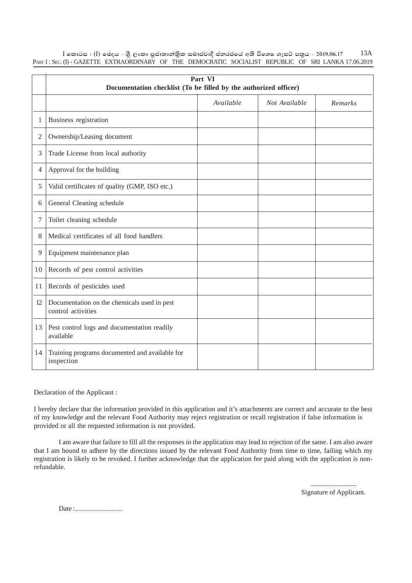| l කොටස : (I) ඡෙදය - ශුී ලංකා පුජාතාන්තික සමාජවාදී ජනරජයේ අති විශෙෂ ගැසට් පතුය - 2019.06.17            |  |  |  |  |  |  | 13A |
|-------------------------------------------------------------------------------------------------------|--|--|--|--|--|--|-----|
| PART I: SEC. (I) - GAZETTE EXTRAORDINARY OF THE DEMOCRATIC SOCIALIST REPUBLIC OF SRI LANKA 17.06.2019 |  |  |  |  |  |  |     |

|                | Part VI<br>Documentation checklist (To be filled by the authorized officer) |           |               |         |  |  |  |  |  |  |
|----------------|-----------------------------------------------------------------------------|-----------|---------------|---------|--|--|--|--|--|--|
|                |                                                                             | Available | Not Available | Remarks |  |  |  |  |  |  |
| 1              | Business registration                                                       |           |               |         |  |  |  |  |  |  |
| 2              | Ownership/Leasing document                                                  |           |               |         |  |  |  |  |  |  |
| 3              | Trade License from local authority                                          |           |               |         |  |  |  |  |  |  |
| $\overline{4}$ | Approval for the building                                                   |           |               |         |  |  |  |  |  |  |
| 5              | Valid certificates of quality (GMP, ISO etc.)                               |           |               |         |  |  |  |  |  |  |
| 6              | General Cleaning schedule                                                   |           |               |         |  |  |  |  |  |  |
| 7              | Toilet cleaning schedule                                                    |           |               |         |  |  |  |  |  |  |
| 8              | Medical certificates of all food handlers                                   |           |               |         |  |  |  |  |  |  |
| 9              | Equipment maintenance plan                                                  |           |               |         |  |  |  |  |  |  |
| 10             | Records of pest control activities                                          |           |               |         |  |  |  |  |  |  |
| 11             | Records of pesticides used                                                  |           |               |         |  |  |  |  |  |  |
| 12             | Documentation on the chemicals used in pest<br>control activities           |           |               |         |  |  |  |  |  |  |
| 13             | Pest control logs and documentation readily<br>available                    |           |               |         |  |  |  |  |  |  |
| 14             | Training programs documented and available for<br>inspection                |           |               |         |  |  |  |  |  |  |

Declaration of the Applicant :

I hereby declare that the information provided in this application and it's attachments are correct and accurate to the best of my knowledge and the relevant Food Authority may reject registration or recall registration if false information is provided or all the requested information is not provided.

I am aware that failure to fill all the responses in the application may lead to rejection of the same. I am also aware that I am bound to adhere by the directions issued by the relevant Food Authority from time to time, failing which my registration is likely to be revoked. I further acknowledge that the application fee paid along with the application is nonrefundable.

> ............................ Signature of Applicant.

Date :............................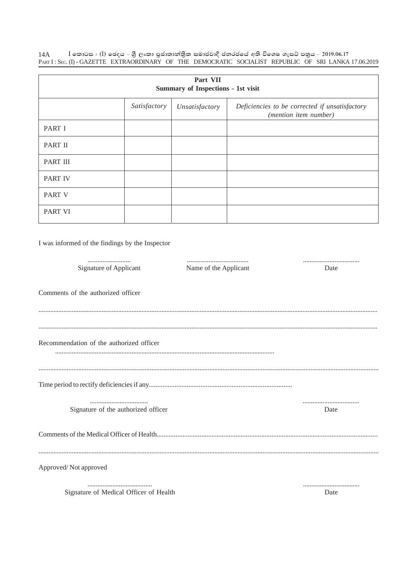14A — I කොටස : (I) ඡෙදය - ශුී ලංකා පුජාතාන්තික සමාජවාදී ජනරජයේ අති විශෙෂ ගැසට් පතුය - 2019.06.17<br>Parr I : Sec. (I) - GAZETTE EXTRAORDINARY OF THE DEMOCRATIC SOCIALIST REPUBLIC OF SRI LANKA 17.06.2019

| Part VII<br>Summary of Inspections - 1st visit |              |                |                                                                         |  |  |  |  |  |  |
|------------------------------------------------|--------------|----------------|-------------------------------------------------------------------------|--|--|--|--|--|--|
|                                                | Satisfactory | Unsatisfactory | Deficiencies to be corrected if unsatisfactory<br>(mention item number) |  |  |  |  |  |  |
| PART I                                         |              |                |                                                                         |  |  |  |  |  |  |
| PART II                                        |              |                |                                                                         |  |  |  |  |  |  |
| PART III                                       |              |                |                                                                         |  |  |  |  |  |  |
| <b>PART IV</b>                                 |              |                |                                                                         |  |  |  |  |  |  |
| <b>PART V</b>                                  |              |                |                                                                         |  |  |  |  |  |  |
| <b>PART VI</b>                                 |              |                |                                                                         |  |  |  |  |  |  |
|                                                |              |                |                                                                         |  |  |  |  |  |  |

I was informed of the findings by the Inspector

| <br>Signature of Applicant               | <br>Name of the Applicant | <br>Date |
|------------------------------------------|---------------------------|----------|
| Comments of the authorized officer       |                           |          |
|                                          |                           |          |
| Recommendation of the authorized officer |                           |          |
|                                          |                           |          |
| Signature of the authorized officer      |                           | <br>Date |
|                                          |                           |          |
| Approved/Not approved                    |                           |          |
|                                          |                           |          |

Signature of Medical Officer of Health

Date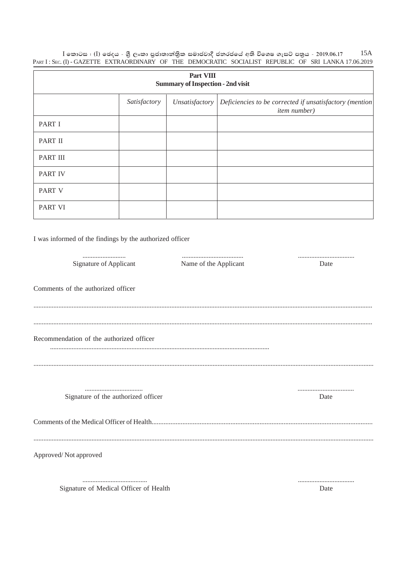| Part VIII<br><b>Summary of Inspection - 2nd visit</b> |              |                |                                                                                 |  |  |  |  |
|-------------------------------------------------------|--------------|----------------|---------------------------------------------------------------------------------|--|--|--|--|
|                                                       | Satisfactory | Unsatisfactory | Deficiencies to be corrected if unsatisfactory (mention)<br><i>item</i> number) |  |  |  |  |
| PART I                                                |              |                |                                                                                 |  |  |  |  |
| <b>PART II</b>                                        |              |                |                                                                                 |  |  |  |  |
| <b>PART III</b>                                       |              |                |                                                                                 |  |  |  |  |
| <b>PART IV</b>                                        |              |                |                                                                                 |  |  |  |  |
| <b>PART V</b>                                         |              |                |                                                                                 |  |  |  |  |
| <b>PART VI</b>                                        |              |                |                                                                                 |  |  |  |  |

I was informed of the findings by the authorized officer

| Signature of Applicant                   | Name of the Applicant | Date     |
|------------------------------------------|-----------------------|----------|
|                                          |                       |          |
| Comments of the authorized officer       |                       |          |
|                                          |                       |          |
|                                          |                       |          |
|                                          |                       |          |
| Recommendation of the authorized officer |                       |          |
|                                          |                       |          |
|                                          |                       |          |
|                                          |                       |          |
| Signature of the authorized officer      |                       | <br>Date |
|                                          |                       |          |
|                                          |                       |          |
|                                          |                       |          |
|                                          |                       |          |
| Approved/Not approved                    |                       |          |
|                                          |                       |          |
|                                          |                       |          |
| Signature of Medical Officer of Health   |                       | Date     |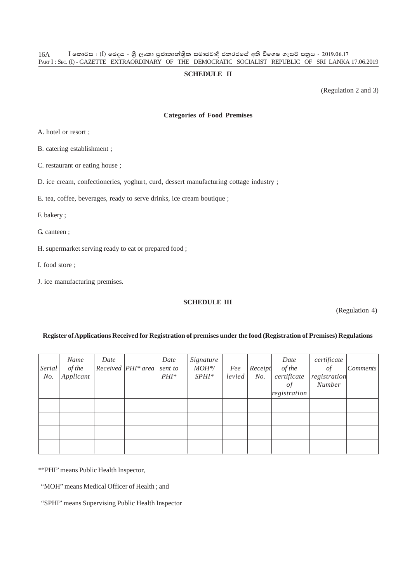#### **SCHEDULE II**

(Regulation 2 and 3)

#### **Categories of Food Premises**

A. hotel or resort ;

B. catering establishment ;

C. restaurant or eating house ;

D. ice cream, confectioneries, yoghurt, curd, dessert manufacturing cottage industry ;

E. tea, coffee, beverages, ready to serve drinks, ice cream boutique ;

F. bakery ;

G. canteen ;

H. supermarket serving ready to eat or prepared food ;

I. food store ;

J. ice manufacturing premises.

### **SCHEDULE III**

(Regulation 4)

#### **Register of Applications Received for Registration of premises under the food (Registration of Premises) Regulations**

| Serial<br>No. | Name<br>of the<br>Applicant | Date | $Received$   PHI* area | Date<br>sent to<br>$PHI^*$ | Signature<br>$MOH^{\ast}\!/$<br>$SPHI*$ | Fee<br>level | Receipt<br>No. | Date<br>of the<br>certificate<br>οf<br>registration | certificate<br>$\sigma f$<br>registration<br>Number | <i>Comments</i> |
|---------------|-----------------------------|------|------------------------|----------------------------|-----------------------------------------|--------------|----------------|-----------------------------------------------------|-----------------------------------------------------|-----------------|
|               |                             |      |                        |                            |                                         |              |                |                                                     |                                                     |                 |
|               |                             |      |                        |                            |                                         |              |                |                                                     |                                                     |                 |
|               |                             |      |                        |                            |                                         |              |                |                                                     |                                                     |                 |
|               |                             |      |                        |                            |                                         |              |                |                                                     |                                                     |                 |

\*"PHI" means Public Health Inspector,

"MOH" means Medical Officer of Health ; and

"SPHI" means Supervising Public Health Inspector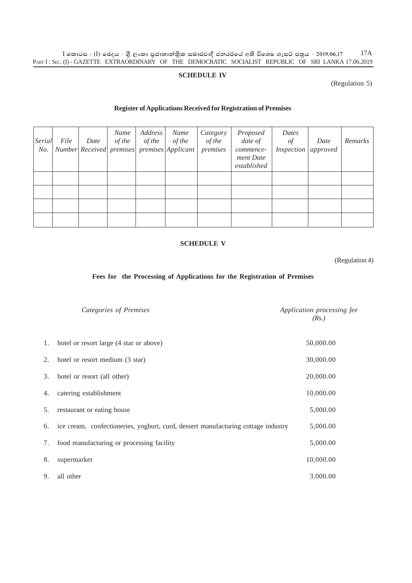$\rm I$  කොටස : ( $\rm I$ ) ඡෙදය - ශුී ලංකා පුජාතාන්තිුක සමාජවාදී ජනරජයේ අති විශෙෂ ගැසට් පතුය - 2019.06.17 PART I : SEC. (I) - GAZETTE EXTRAORDINARY OF THE DEMOCRATIC SOCIALIST REPUBLIC OF SRI LANKA 17.06.2019 17A

#### **SCHEDULE IV**

### (Regulation 5)

#### **Register of Applications Received for Registration of Premises**

| Serial<br>No. | File | Date | Name<br>of the | Address<br>of the | Name<br>of the<br>Number Received premises premises Applicant | Category<br>of the<br>premises | Proposed<br>date of<br>commence-<br>ment Date<br>established | Dates<br>$\sigma f$<br>Inspection | Date<br>approved | Remarks |
|---------------|------|------|----------------|-------------------|---------------------------------------------------------------|--------------------------------|--------------------------------------------------------------|-----------------------------------|------------------|---------|
|               |      |      |                |                   |                                                               |                                |                                                              |                                   |                  |         |
|               |      |      |                |                   |                                                               |                                |                                                              |                                   |                  |         |
|               |      |      |                |                   |                                                               |                                |                                                              |                                   |                  |         |
|               |      |      |                |                   |                                                               |                                |                                                              |                                   |                  |         |

#### **SCHEDULE V**

(Regulation 4)

### **Fees for the Processing of Applications for the Registration of Premises**

|    | Categories of Premises                                                               | Application processing fee<br>(Rs.) |
|----|--------------------------------------------------------------------------------------|-------------------------------------|
|    | 1. hotel or resort large (4 star or above)                                           | 50,000.00                           |
| 2. | hotel or resort medium (3 star)                                                      | 30,000.00                           |
| 3. | hotel or resort (all other)                                                          | 20,000.00                           |
| 4. | catering establishment                                                               | 10,000.00                           |
| 5. | restaurant or eating house                                                           | 5,000.00                            |
|    | 6. ice cream, confectioneries, yoghurt, curd, dessert manufacturing cottage industry | 5,000.00                            |
| 7. | food manufacturing or processing facility                                            | 5,000.00                            |
| 8. | supermarket                                                                          | 10,000.00                           |
| 9. | all other                                                                            | 3,000.00                            |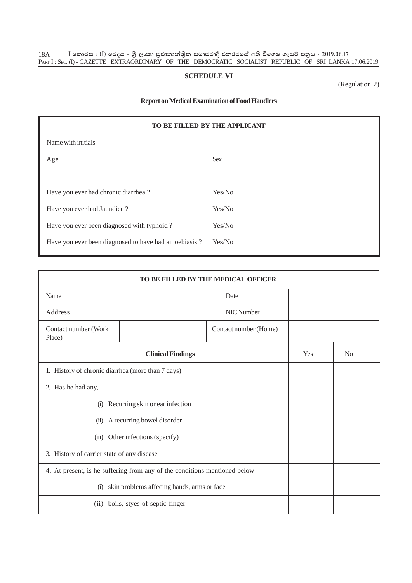### **SCHEDULE VI**

(Regulation 2)

#### **Report on Medical Examination of Food Handlers**

| TO BE FILLED BY THE APPLICANT |  |  |  |  |  |
|-------------------------------|--|--|--|--|--|
|                               |  |  |  |  |  |
| <b>Sex</b>                    |  |  |  |  |  |
|                               |  |  |  |  |  |
| Yes/No                        |  |  |  |  |  |
| Yes/No                        |  |  |  |  |  |
| Yes/No                        |  |  |  |  |  |
| Yes/No                        |  |  |  |  |  |
|                               |  |  |  |  |  |

| TO BE FILLED BY THE MEDICAL OFFICER                                       |                                               |                               |  |            |  |                |  |
|---------------------------------------------------------------------------|-----------------------------------------------|-------------------------------|--|------------|--|----------------|--|
| Name                                                                      | Date                                          |                               |  |            |  |                |  |
| Address                                                                   |                                               |                               |  | NIC Number |  |                |  |
| Place)                                                                    | Contact number (Work<br>Contact number (Home) |                               |  |            |  |                |  |
| <b>Clinical Findings</b>                                                  |                                               |                               |  |            |  | N <sub>o</sub> |  |
| 1. History of chronic diarrhea (more than 7 days)                         |                                               |                               |  |            |  |                |  |
| 2. Has he had any,                                                        |                                               |                               |  |            |  |                |  |
|                                                                           | Recurring skin or ear infection<br>(i)        |                               |  |            |  |                |  |
| A recurring bowel disorder<br>(ii)                                        |                                               |                               |  |            |  |                |  |
| (iii) Other infections (specify)                                          |                                               |                               |  |            |  |                |  |
| 3. History of carrier state of any disease                                |                                               |                               |  |            |  |                |  |
| 4. At present, is he suffering from any of the conditions mentioned below |                                               |                               |  |            |  |                |  |
| skin problems affecing hands, arms or face<br>(i)                         |                                               |                               |  |            |  |                |  |
|                                                                           | (i)                                           | boils, styes of septic finger |  |            |  |                |  |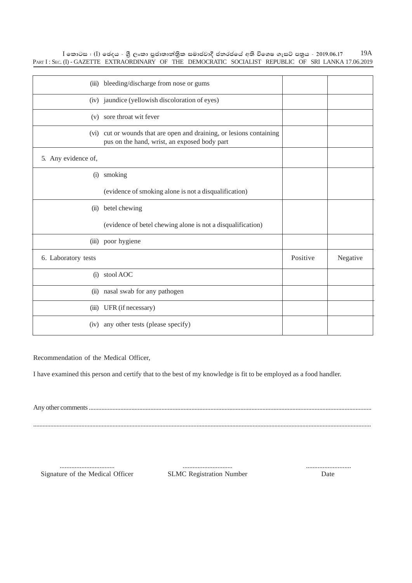$I$  කොටස : (I) ඡෙදය - ශුී ලංකා පුජාතාන්තිුක සමාජවාදී ජනරජයේ අති විශෙෂ ගැසට් පතුය - 2019.06.17 PART I: SEC. (I) - GAZETTE EXTRAORDINARY OF THE DEMOCRATIC SOCIALIST REPUBLIC OF SRI LANKA 17.06.2019 19A

| (iii)               | bleeding/discharge from nose or gums                                                                                 |          |          |
|---------------------|----------------------------------------------------------------------------------------------------------------------|----------|----------|
|                     | (iv) jaundice (yellowish discoloration of eyes)                                                                      |          |          |
|                     | (v) sore throat wit fever                                                                                            |          |          |
|                     | (vi) cut or wounds that are open and draining, or lesions containing<br>pus on the hand, wrist, an exposed body part |          |          |
| 5. Any evidence of, |                                                                                                                      |          |          |
| (i)                 | smoking                                                                                                              |          |          |
|                     | (evidence of smoking alone is not a disqualification)                                                                |          |          |
|                     | (ii) betel chewing                                                                                                   |          |          |
|                     | (evidence of betel chewing alone is not a disqualification)                                                          |          |          |
|                     | (iii) poor hygiene                                                                                                   |          |          |
| 6. Laboratory tests |                                                                                                                      | Positive | Negative |
|                     | (i) stool AOC                                                                                                        |          |          |
|                     | (ii) nasal swab for any pathogen                                                                                     |          |          |
|                     | (iii) UFR (if necessary)                                                                                             |          |          |
|                     | (iv) any other tests (please specify)                                                                                |          |          |

Recommendation of the Medical Officer,

I have examined this person and certify that to the best of my knowledge is fit to be employed as a food handler.

Any other comments ...................................................................................................................................................................................

.........................................................................................................................................................................................................................

................................. .............................. ........................... Signature of the Medical Officer SLMC Registration Number Date